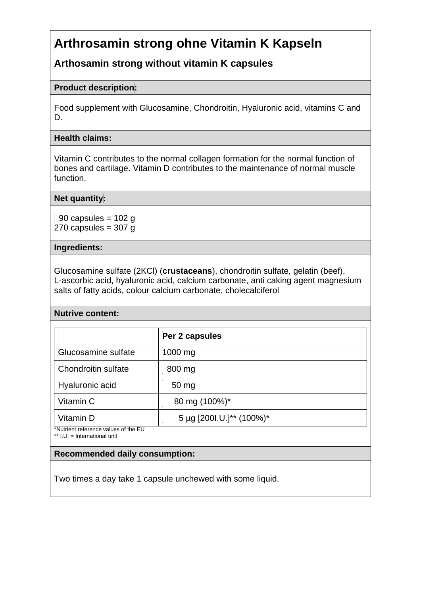# **Arthrosamin strong ohne Vitamin K Kapseln**

## **Arthosamin strong without vitamin K capsules**

## **Product description:**

Food supplement with Glucosamine, Chondroitin, Hyaluronic acid, vitamins C and D.

## **Health claims:**

Vitamin C contributes to the normal collagen formation for the normal function of bones and cartilage. Vitamin D contributes to the maintenance of normal muscle function.

## **Net quantity:**

90 capsules =  $102$  g 270 capsules  $=$  307 g

#### **Ingredients:**

Glucosamine sulfate (2KCl) (**crustaceans**), chondroitin sulfate, gelatin (beef), L-ascorbic acid, hyaluronic acid, calcium carbonate, anti caking agent magnesium salts of fatty acids, colour calcium carbonate, cholecalciferol

## **Nutrive content:**

| Per 2 capsules           |
|--------------------------|
| 1000 mg                  |
| 800 mg                   |
| 50 mg                    |
| 80 mg (100%)*            |
| 5 µg [200l.U.]** (100%)* |
|                          |

\*\* I.U. = International unit

## **Recommended daily consumption:**

Two times a day take 1 capsule unchewed with some liquid.